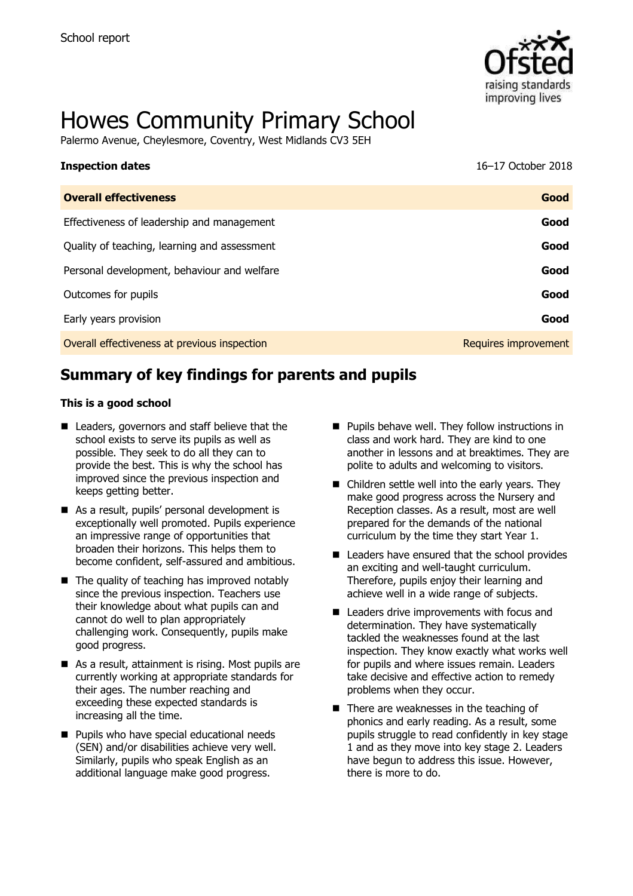

# Howes Community Primary School

Palermo Avenue, Cheylesmore, Coventry, West Midlands CV3 5EH

| <b>Inspection dates</b>                      | 16-17 October 2018   |
|----------------------------------------------|----------------------|
| <b>Overall effectiveness</b>                 | Good                 |
| Effectiveness of leadership and management   | Good                 |
| Quality of teaching, learning and assessment | Good                 |
| Personal development, behaviour and welfare  | Good                 |
| Outcomes for pupils                          | Good                 |
| Early years provision                        | Good                 |
| Overall effectiveness at previous inspection | Requires improvement |

# **Summary of key findings for parents and pupils**

#### **This is a good school**

- Leaders, governors and staff believe that the school exists to serve its pupils as well as possible. They seek to do all they can to provide the best. This is why the school has improved since the previous inspection and keeps getting better.
- As a result, pupils' personal development is exceptionally well promoted. Pupils experience an impressive range of opportunities that broaden their horizons. This helps them to become confident, self-assured and ambitious.
- $\blacksquare$  The quality of teaching has improved notably since the previous inspection. Teachers use their knowledge about what pupils can and cannot do well to plan appropriately challenging work. Consequently, pupils make good progress.
- As a result, attainment is rising. Most pupils are currently working at appropriate standards for their ages. The number reaching and exceeding these expected standards is increasing all the time.
- **Pupils who have special educational needs** (SEN) and/or disabilities achieve very well. Similarly, pupils who speak English as an additional language make good progress.
- $\blacksquare$  Pupils behave well. They follow instructions in class and work hard. They are kind to one another in lessons and at breaktimes. They are polite to adults and welcoming to visitors.
- Children settle well into the early years. They make good progress across the Nursery and Reception classes. As a result, most are well prepared for the demands of the national curriculum by the time they start Year 1.
- Leaders have ensured that the school provides an exciting and well-taught curriculum. Therefore, pupils enjoy their learning and achieve well in a wide range of subjects.
- Leaders drive improvements with focus and determination. They have systematically tackled the weaknesses found at the last inspection. They know exactly what works well for pupils and where issues remain. Leaders take decisive and effective action to remedy problems when they occur.
- There are weaknesses in the teaching of phonics and early reading. As a result, some pupils struggle to read confidently in key stage 1 and as they move into key stage 2. Leaders have begun to address this issue. However, there is more to do.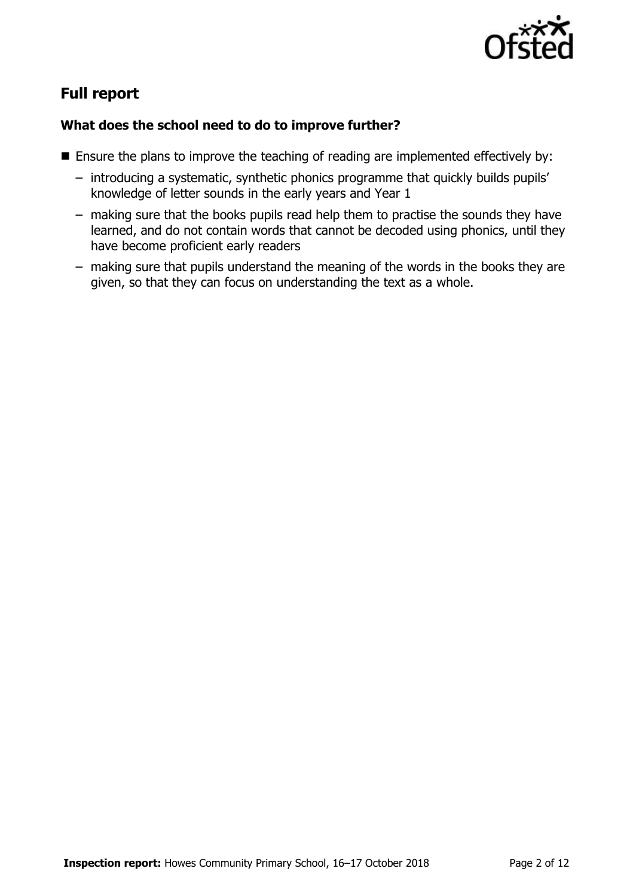

# **Full report**

### **What does the school need to do to improve further?**

- **Ensure the plans to improve the teaching of reading are implemented effectively by:** 
	- introducing a systematic, synthetic phonics programme that quickly builds pupils' knowledge of letter sounds in the early years and Year 1
	- making sure that the books pupils read help them to practise the sounds they have learned, and do not contain words that cannot be decoded using phonics, until they have become proficient early readers
	- making sure that pupils understand the meaning of the words in the books they are given, so that they can focus on understanding the text as a whole.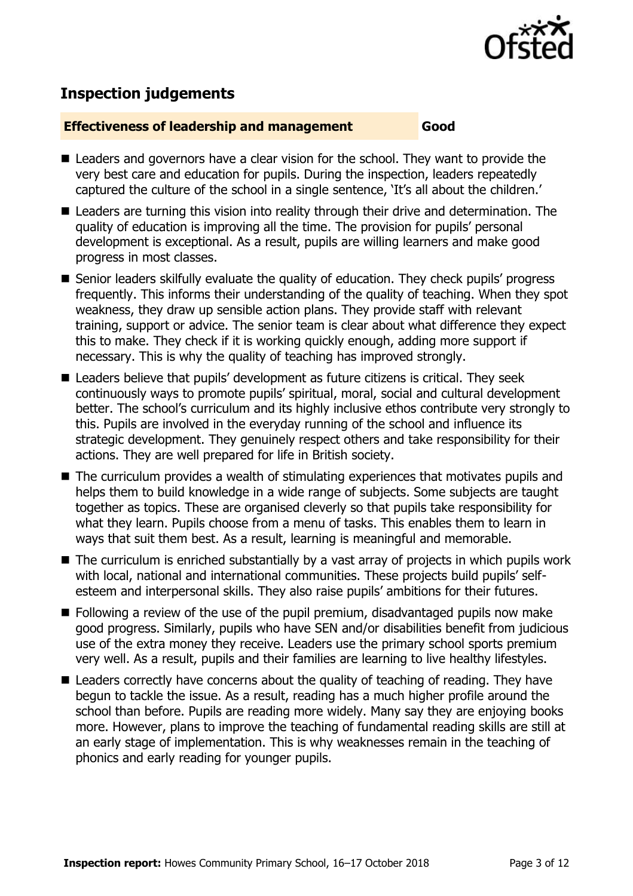

# **Inspection judgements**

#### **Effectiveness of leadership and management Good**

- Leaders and governors have a clear vision for the school. They want to provide the very best care and education for pupils. During the inspection, leaders repeatedly captured the culture of the school in a single sentence, 'It's all about the children.'
- Leaders are turning this vision into reality through their drive and determination. The quality of education is improving all the time. The provision for pupils' personal development is exceptional. As a result, pupils are willing learners and make good progress in most classes.
- Senior leaders skilfully evaluate the quality of education. They check pupils' progress frequently. This informs their understanding of the quality of teaching. When they spot weakness, they draw up sensible action plans. They provide staff with relevant training, support or advice. The senior team is clear about what difference they expect this to make. They check if it is working quickly enough, adding more support if necessary. This is why the quality of teaching has improved strongly.
- Leaders believe that pupils' development as future citizens is critical. They seek continuously ways to promote pupils' spiritual, moral, social and cultural development better. The school's curriculum and its highly inclusive ethos contribute very strongly to this. Pupils are involved in the everyday running of the school and influence its strategic development. They genuinely respect others and take responsibility for their actions. They are well prepared for life in British society.
- The curriculum provides a wealth of stimulating experiences that motivates pupils and helps them to build knowledge in a wide range of subjects. Some subjects are taught together as topics. These are organised cleverly so that pupils take responsibility for what they learn. Pupils choose from a menu of tasks. This enables them to learn in ways that suit them best. As a result, learning is meaningful and memorable.
- The curriculum is enriched substantially by a vast array of projects in which pupils work with local, national and international communities. These projects build pupils' selfesteem and interpersonal skills. They also raise pupils' ambitions for their futures.
- **Following a review of the use of the pupil premium, disadvantaged pupils now make** good progress. Similarly, pupils who have SEN and/or disabilities benefit from judicious use of the extra money they receive. Leaders use the primary school sports premium very well. As a result, pupils and their families are learning to live healthy lifestyles.
- Leaders correctly have concerns about the quality of teaching of reading. They have begun to tackle the issue. As a result, reading has a much higher profile around the school than before. Pupils are reading more widely. Many say they are enjoying books more. However, plans to improve the teaching of fundamental reading skills are still at an early stage of implementation. This is why weaknesses remain in the teaching of phonics and early reading for younger pupils.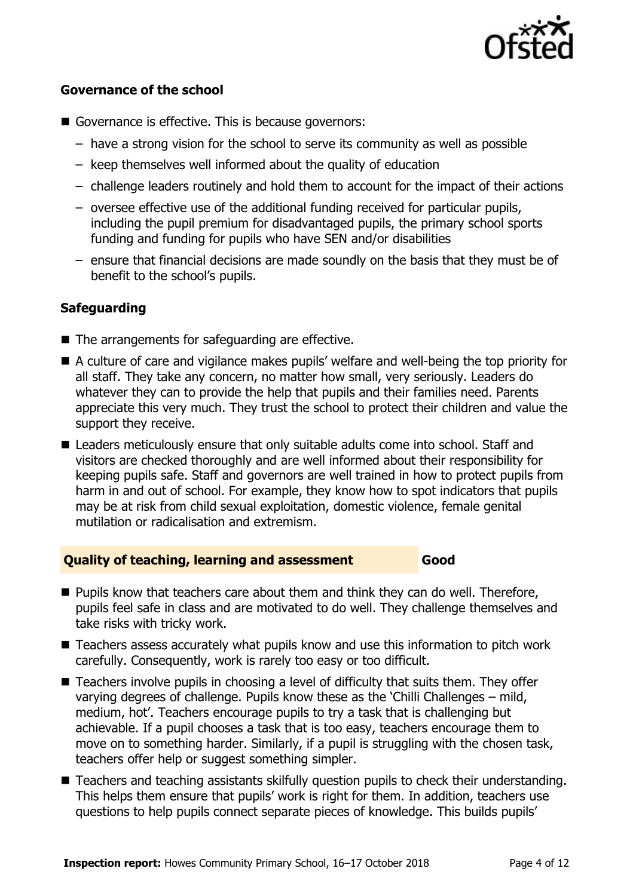

#### **Governance of the school**

- Governance is effective. This is because governors:
	- have a strong vision for the school to serve its community as well as possible
	- keep themselves well informed about the quality of education
	- challenge leaders routinely and hold them to account for the impact of their actions
	- oversee effective use of the additional funding received for particular pupils, including the pupil premium for disadvantaged pupils, the primary school sports funding and funding for pupils who have SEN and/or disabilities
	- ensure that financial decisions are made soundly on the basis that they must be of benefit to the school's pupils.

#### **Safeguarding**

- The arrangements for safeguarding are effective.
- A culture of care and vigilance makes pupils' welfare and well-being the top priority for all staff. They take any concern, no matter how small, very seriously. Leaders do whatever they can to provide the help that pupils and their families need. Parents appreciate this very much. They trust the school to protect their children and value the support they receive.
- Leaders meticulously ensure that only suitable adults come into school. Staff and visitors are checked thoroughly and are well informed about their responsibility for keeping pupils safe. Staff and governors are well trained in how to protect pupils from harm in and out of school. For example, they know how to spot indicators that pupils may be at risk from child sexual exploitation, domestic violence, female genital mutilation or radicalisation and extremism.

#### **Quality of teaching, learning and assessment Good**

- **Pupils know that teachers care about them and think they can do well. Therefore,** pupils feel safe in class and are motivated to do well. They challenge themselves and take risks with tricky work.
- Teachers assess accurately what pupils know and use this information to pitch work carefully. Consequently, work is rarely too easy or too difficult.
- Teachers involve pupils in choosing a level of difficulty that suits them. They offer varying degrees of challenge. Pupils know these as the 'Chilli Challenges – mild, medium, hot'. Teachers encourage pupils to try a task that is challenging but achievable. If a pupil chooses a task that is too easy, teachers encourage them to move on to something harder. Similarly, if a pupil is struggling with the chosen task, teachers offer help or suggest something simpler.
- Teachers and teaching assistants skilfully question pupils to check their understanding. This helps them ensure that pupils' work is right for them. In addition, teachers use questions to help pupils connect separate pieces of knowledge. This builds pupils'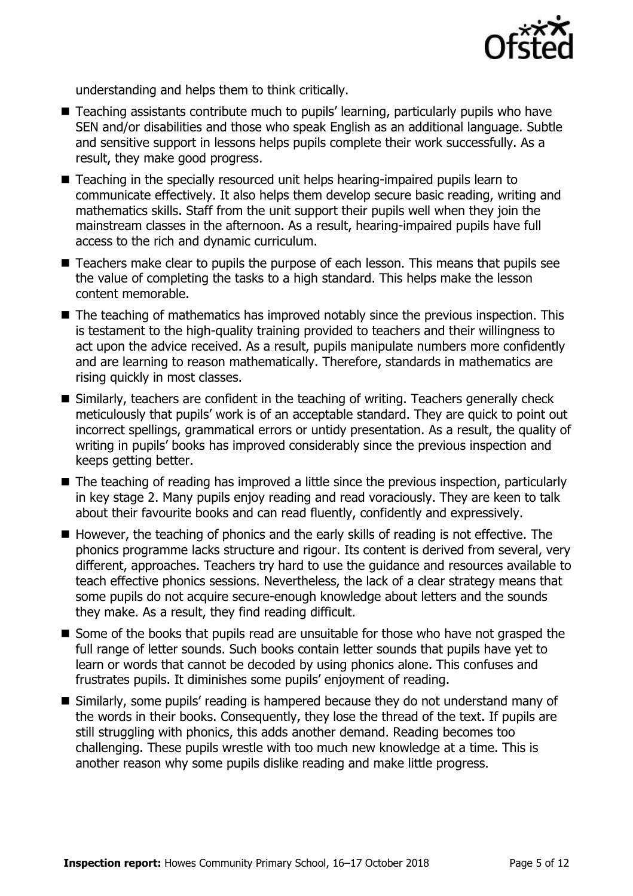

understanding and helps them to think critically.

- Teaching assistants contribute much to pupils' learning, particularly pupils who have SEN and/or disabilities and those who speak English as an additional language. Subtle and sensitive support in lessons helps pupils complete their work successfully. As a result, they make good progress.
- Teaching in the specially resourced unit helps hearing-impaired pupils learn to communicate effectively. It also helps them develop secure basic reading, writing and mathematics skills. Staff from the unit support their pupils well when they join the mainstream classes in the afternoon. As a result, hearing-impaired pupils have full access to the rich and dynamic curriculum.
- Teachers make clear to pupils the purpose of each lesson. This means that pupils see the value of completing the tasks to a high standard. This helps make the lesson content memorable.
- The teaching of mathematics has improved notably since the previous inspection. This is testament to the high-quality training provided to teachers and their willingness to act upon the advice received. As a result, pupils manipulate numbers more confidently and are learning to reason mathematically. Therefore, standards in mathematics are rising quickly in most classes.
- Similarly, teachers are confident in the teaching of writing. Teachers generally check meticulously that pupils' work is of an acceptable standard. They are quick to point out incorrect spellings, grammatical errors or untidy presentation. As a result, the quality of writing in pupils' books has improved considerably since the previous inspection and keeps getting better.
- The teaching of reading has improved a little since the previous inspection, particularly in key stage 2. Many pupils enjoy reading and read voraciously. They are keen to talk about their favourite books and can read fluently, confidently and expressively.
- $\blacksquare$  However, the teaching of phonics and the early skills of reading is not effective. The phonics programme lacks structure and rigour. Its content is derived from several, very different, approaches. Teachers try hard to use the guidance and resources available to teach effective phonics sessions. Nevertheless, the lack of a clear strategy means that some pupils do not acquire secure-enough knowledge about letters and the sounds they make. As a result, they find reading difficult.
- Some of the books that pupils read are unsuitable for those who have not grasped the full range of letter sounds. Such books contain letter sounds that pupils have yet to learn or words that cannot be decoded by using phonics alone. This confuses and frustrates pupils. It diminishes some pupils' enjoyment of reading.
- Similarly, some pupils' reading is hampered because they do not understand many of the words in their books. Consequently, they lose the thread of the text. If pupils are still struggling with phonics, this adds another demand. Reading becomes too challenging. These pupils wrestle with too much new knowledge at a time. This is another reason why some pupils dislike reading and make little progress.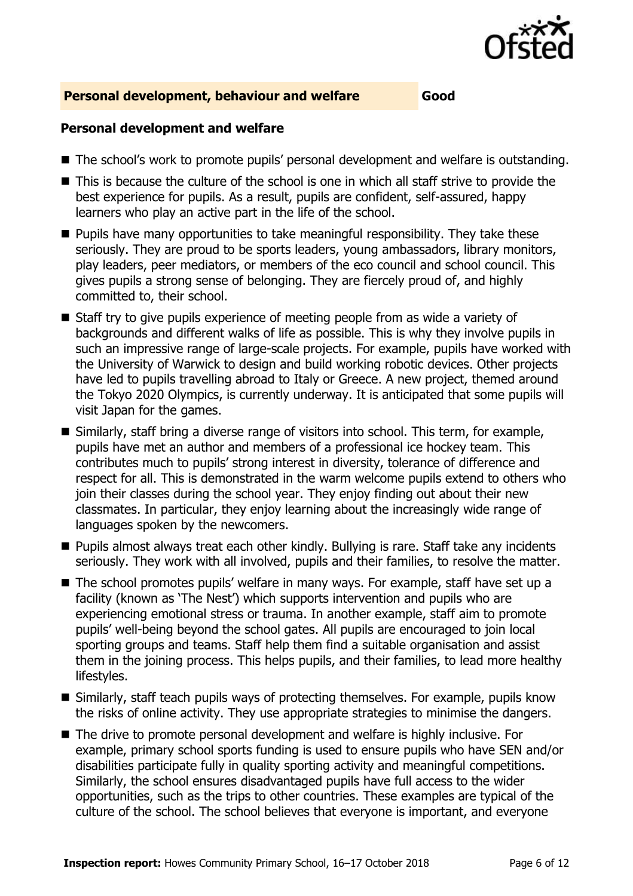

#### **Personal development, behaviour and welfare Good**

#### **Personal development and welfare**

- The school's work to promote pupils' personal development and welfare is outstanding.
- This is because the culture of the school is one in which all staff strive to provide the best experience for pupils. As a result, pupils are confident, self-assured, happy learners who play an active part in the life of the school.
- **Pupils have many opportunities to take meaningful responsibility. They take these** seriously. They are proud to be sports leaders, young ambassadors, library monitors, play leaders, peer mediators, or members of the eco council and school council. This gives pupils a strong sense of belonging. They are fiercely proud of, and highly committed to, their school.
- Staff try to give pupils experience of meeting people from as wide a variety of backgrounds and different walks of life as possible. This is why they involve pupils in such an impressive range of large-scale projects. For example, pupils have worked with the University of Warwick to design and build working robotic devices. Other projects have led to pupils travelling abroad to Italy or Greece. A new project, themed around the Tokyo 2020 Olympics, is currently underway. It is anticipated that some pupils will visit Japan for the games.
- Similarly, staff bring a diverse range of visitors into school. This term, for example, pupils have met an author and members of a professional ice hockey team. This contributes much to pupils' strong interest in diversity, tolerance of difference and respect for all. This is demonstrated in the warm welcome pupils extend to others who join their classes during the school year. They enjoy finding out about their new classmates. In particular, they enjoy learning about the increasingly wide range of languages spoken by the newcomers.
- **Pupils almost always treat each other kindly. Bullying is rare. Staff take any incidents** seriously. They work with all involved, pupils and their families, to resolve the matter.
- The school promotes pupils' welfare in many ways. For example, staff have set up a facility (known as 'The Nest') which supports intervention and pupils who are experiencing emotional stress or trauma. In another example, staff aim to promote pupils' well-being beyond the school gates. All pupils are encouraged to join local sporting groups and teams. Staff help them find a suitable organisation and assist them in the joining process. This helps pupils, and their families, to lead more healthy lifestyles.
- Similarly, staff teach pupils ways of protecting themselves. For example, pupils know the risks of online activity. They use appropriate strategies to minimise the dangers.
- The drive to promote personal development and welfare is highly inclusive. For example, primary school sports funding is used to ensure pupils who have SEN and/or disabilities participate fully in quality sporting activity and meaningful competitions. Similarly, the school ensures disadvantaged pupils have full access to the wider opportunities, such as the trips to other countries. These examples are typical of the culture of the school. The school believes that everyone is important, and everyone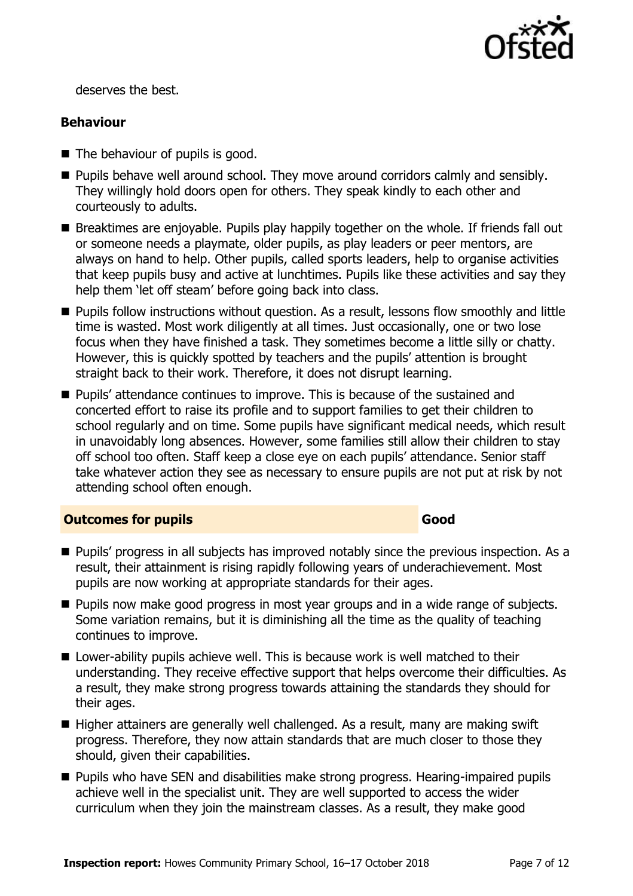

deserves the best.

### **Behaviour**

- The behaviour of pupils is good.
- **Pupils behave well around school. They move around corridors calmly and sensibly.** They willingly hold doors open for others. They speak kindly to each other and courteously to adults.
- Breaktimes are enjovable. Pupils play happily together on the whole. If friends fall out or someone needs a playmate, older pupils, as play leaders or peer mentors, are always on hand to help. Other pupils, called sports leaders, help to organise activities that keep pupils busy and active at lunchtimes. Pupils like these activities and say they help them 'let off steam' before going back into class.
- **Pupils follow instructions without question. As a result, lessons flow smoothly and little** time is wasted. Most work diligently at all times. Just occasionally, one or two lose focus when they have finished a task. They sometimes become a little silly or chatty. However, this is quickly spotted by teachers and the pupils' attention is brought straight back to their work. Therefore, it does not disrupt learning.
- Pupils' attendance continues to improve. This is because of the sustained and concerted effort to raise its profile and to support families to get their children to school regularly and on time. Some pupils have significant medical needs, which result in unavoidably long absences. However, some families still allow their children to stay off school too often. Staff keep a close eye on each pupils' attendance. Senior staff take whatever action they see as necessary to ensure pupils are not put at risk by not attending school often enough.

### **Outcomes for pupils Good**

- **Pupils' progress in all subjects has improved notably since the previous inspection. As a** result, their attainment is rising rapidly following years of underachievement. Most pupils are now working at appropriate standards for their ages.
- **Pupils now make good progress in most year groups and in a wide range of subjects.** Some variation remains, but it is diminishing all the time as the quality of teaching continues to improve.
- Lower-ability pupils achieve well. This is because work is well matched to their understanding. They receive effective support that helps overcome their difficulties. As a result, they make strong progress towards attaining the standards they should for their ages.
- $\blacksquare$  Higher attainers are generally well challenged. As a result, many are making swift progress. Therefore, they now attain standards that are much closer to those they should, given their capabilities.
- **Pupils who have SEN and disabilities make strong progress. Hearing-impaired pupils** achieve well in the specialist unit. They are well supported to access the wider curriculum when they join the mainstream classes. As a result, they make good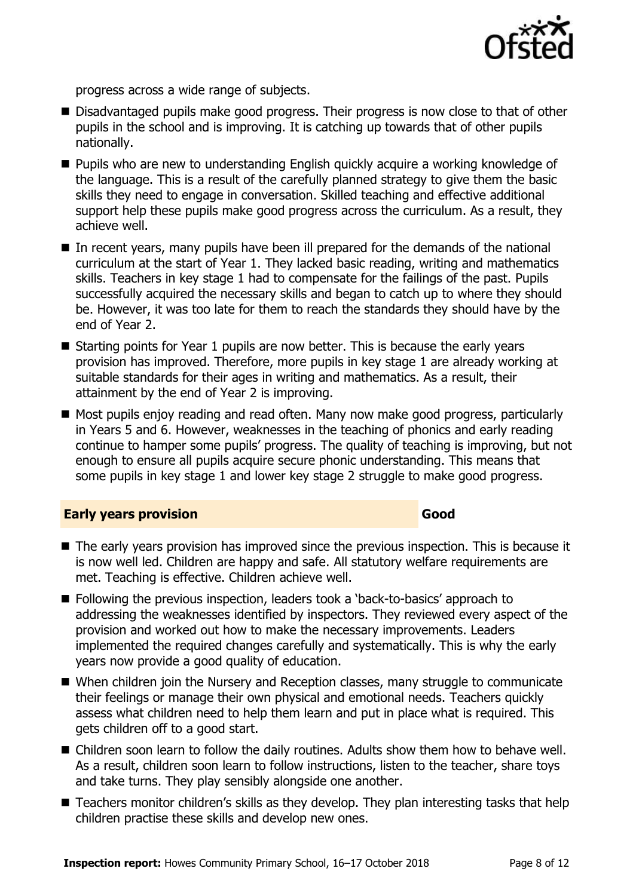

progress across a wide range of subjects.

- Disadvantaged pupils make good progress. Their progress is now close to that of other pupils in the school and is improving. It is catching up towards that of other pupils nationally.
- **Pupils who are new to understanding English quickly acquire a working knowledge of** the language. This is a result of the carefully planned strategy to give them the basic skills they need to engage in conversation. Skilled teaching and effective additional support help these pupils make good progress across the curriculum. As a result, they achieve well.
- In recent years, many pupils have been ill prepared for the demands of the national curriculum at the start of Year 1. They lacked basic reading, writing and mathematics skills. Teachers in key stage 1 had to compensate for the failings of the past. Pupils successfully acquired the necessary skills and began to catch up to where they should be. However, it was too late for them to reach the standards they should have by the end of Year 2.
- Starting points for Year 1 pupils are now better. This is because the early years provision has improved. Therefore, more pupils in key stage 1 are already working at suitable standards for their ages in writing and mathematics. As a result, their attainment by the end of Year 2 is improving.
- Most pupils enjoy reading and read often. Many now make good progress, particularly in Years 5 and 6. However, weaknesses in the teaching of phonics and early reading continue to hamper some pupils' progress. The quality of teaching is improving, but not enough to ensure all pupils acquire secure phonic understanding. This means that some pupils in key stage 1 and lower key stage 2 struggle to make good progress.

#### **Early years provision Good Good**

- The early years provision has improved since the previous inspection. This is because it is now well led. Children are happy and safe. All statutory welfare requirements are met. Teaching is effective. Children achieve well.
- Following the previous inspection, leaders took a 'back-to-basics' approach to addressing the weaknesses identified by inspectors. They reviewed every aspect of the provision and worked out how to make the necessary improvements. Leaders implemented the required changes carefully and systematically. This is why the early years now provide a good quality of education.
- When children join the Nursery and Reception classes, many struggle to communicate their feelings or manage their own physical and emotional needs. Teachers quickly assess what children need to help them learn and put in place what is required. This gets children off to a good start.
- Children soon learn to follow the daily routines. Adults show them how to behave well. As a result, children soon learn to follow instructions, listen to the teacher, share toys and take turns. They play sensibly alongside one another.
- Teachers monitor children's skills as they develop. They plan interesting tasks that help children practise these skills and develop new ones.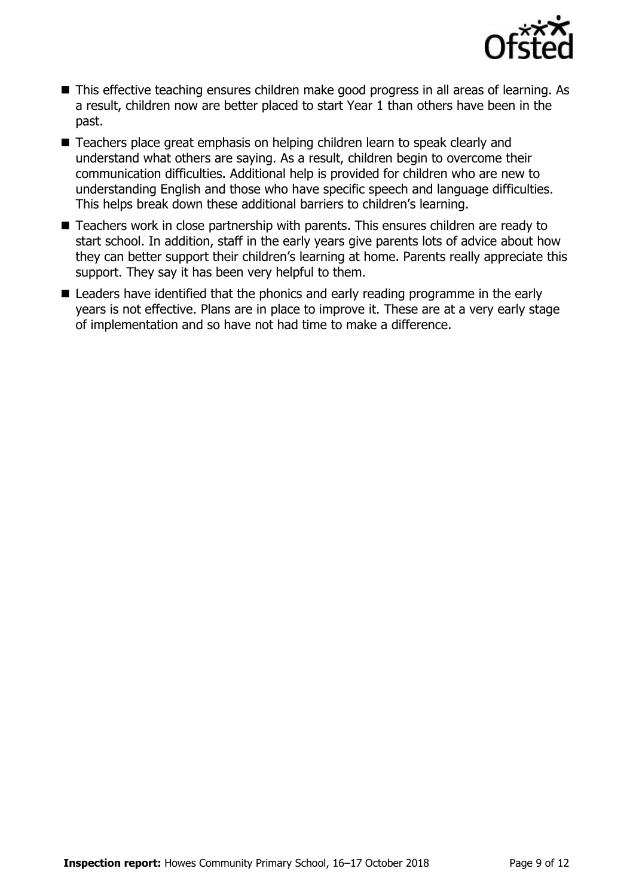

- This effective teaching ensures children make good progress in all areas of learning. As a result, children now are better placed to start Year 1 than others have been in the past.
- Teachers place great emphasis on helping children learn to speak clearly and understand what others are saying. As a result, children begin to overcome their communication difficulties. Additional help is provided for children who are new to understanding English and those who have specific speech and language difficulties. This helps break down these additional barriers to children's learning.
- Teachers work in close partnership with parents. This ensures children are ready to start school. In addition, staff in the early years give parents lots of advice about how they can better support their children's learning at home. Parents really appreciate this support. They say it has been very helpful to them.
- Leaders have identified that the phonics and early reading programme in the early years is not effective. Plans are in place to improve it. These are at a very early stage of implementation and so have not had time to make a difference.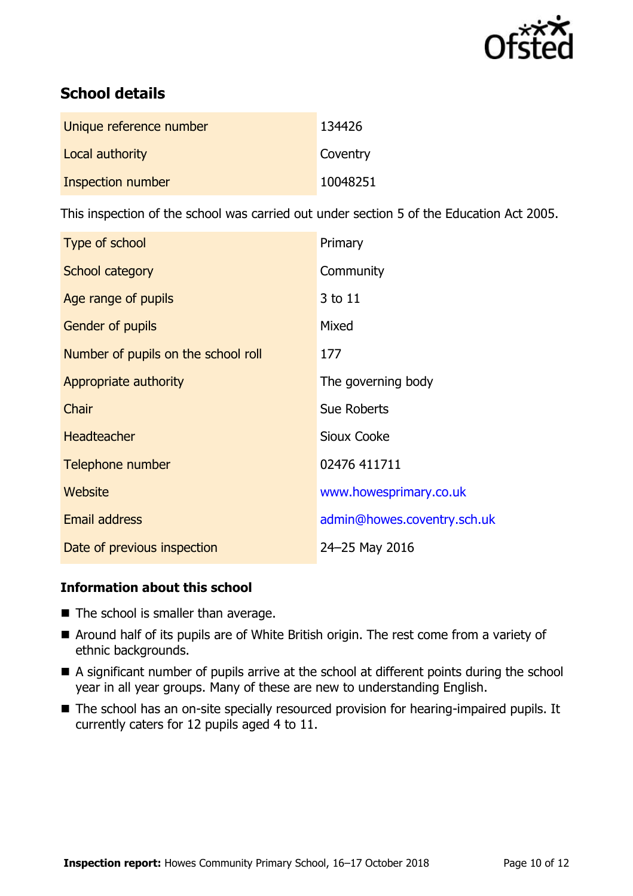

# **School details**

| Unique reference number | 134426   |
|-------------------------|----------|
| Local authority         | Coventry |
| Inspection number       | 10048251 |

This inspection of the school was carried out under section 5 of the Education Act 2005.

| Type of school                      | Primary                     |
|-------------------------------------|-----------------------------|
| School category                     | Community                   |
| Age range of pupils                 | 3 to 11                     |
| <b>Gender of pupils</b>             | Mixed                       |
| Number of pupils on the school roll | 177                         |
| Appropriate authority               | The governing body          |
| Chair                               | <b>Sue Roberts</b>          |
| Headteacher                         | <b>Sioux Cooke</b>          |
| Telephone number                    | 02476 411711                |
| Website                             | www.howesprimary.co.uk      |
| <b>Email address</b>                | admin@howes.coventry.sch.uk |
| Date of previous inspection         | 24-25 May 2016              |

### **Information about this school**

- The school is smaller than average.
- Around half of its pupils are of White British origin. The rest come from a variety of ethnic backgrounds.
- A significant number of pupils arrive at the school at different points during the school year in all year groups. Many of these are new to understanding English.
- The school has an on-site specially resourced provision for hearing-impaired pupils. It currently caters for 12 pupils aged 4 to 11.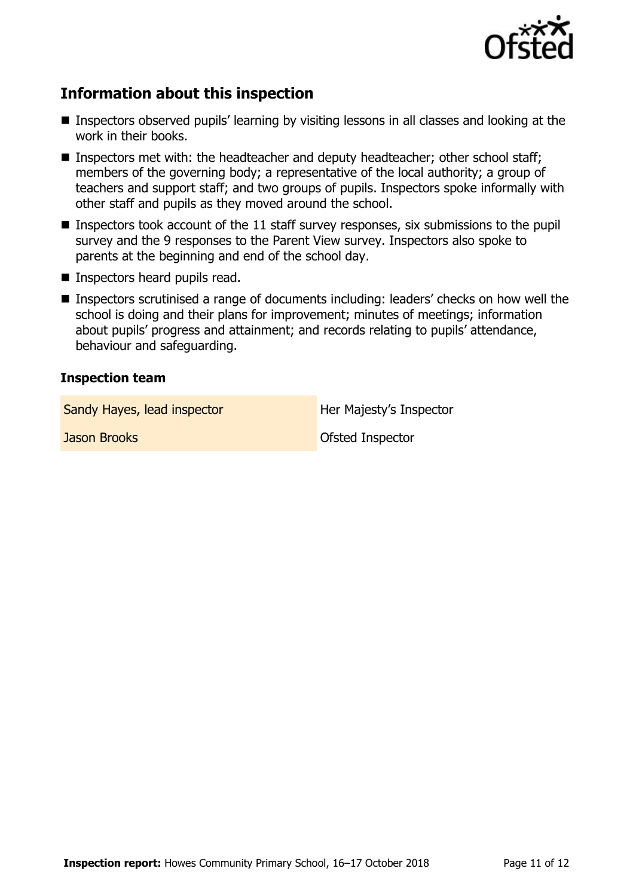

# **Information about this inspection**

- Inspectors observed pupils' learning by visiting lessons in all classes and looking at the work in their books.
- Inspectors met with: the headteacher and deputy headteacher; other school staff; members of the governing body; a representative of the local authority; a group of teachers and support staff; and two groups of pupils. Inspectors spoke informally with other staff and pupils as they moved around the school.
- **Inspectors took account of the 11 staff survey responses, six submissions to the pupil** survey and the 9 responses to the Parent View survey. Inspectors also spoke to parents at the beginning and end of the school day.
- **Inspectors heard pupils read.**
- Inspectors scrutinised a range of documents including: leaders' checks on how well the school is doing and their plans for improvement; minutes of meetings; information about pupils' progress and attainment; and records relating to pupils' attendance, behaviour and safeguarding.

#### **Inspection team**

Sandy Hayes, lead inspector **Her Majesty's Inspector** 

**Jason Brooks Ofsted Inspector**